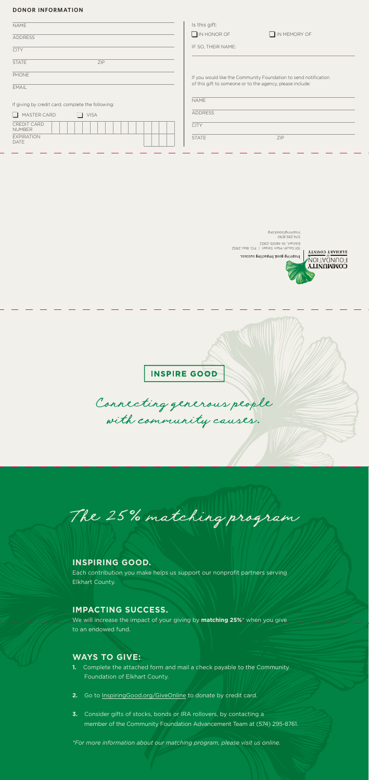## **DONOR INFORMATION**

Connecting generous people with community causes.

The 25% matching program

# **INSPIRING GOOD.**

Each contribution you make helps us support our nonprofit partners serving Elkhart County.

| <b>NAME</b>                                       | Is this gift:                                                   |
|---------------------------------------------------|-----------------------------------------------------------------|
| <b>ADDRESS</b>                                    | $\Box$ IN HONOR OF<br>IN MEMORY OF                              |
| <b>CITY</b>                                       | IF SO, THEIR NAME:                                              |
| ZIP<br><b>STATE</b>                               |                                                                 |
| PHONE                                             | If you would like the Community Foundation to send notification |
| <b>EMAIL</b>                                      | of this gift to someone or to the agency, please include:       |
| If giving by credit card, complete the following: | <b>NAME</b>                                                     |
| MASTER CARD<br><b>VISA</b><br>$\Box$<br>l 1       | <b>ADDRESS</b>                                                  |
| <b>CREDIT CARD</b><br><b>NUMBER</b>               | <b>CITY</b>                                                     |
| <b>EXPIRATION</b><br><b>DATE</b>                  | <b>STATE</b><br>ZIP                                             |
|                                                   |                                                                 |

popoog.<br>1974.295.8761 101 South Main Street | P.O. Box 2932 Elkhart, IN 46515-2932 Inspiring good lmpacting success

ELKHART COUNTY

FOUNDATION. **COMMUNITY** 

**INSPIRE GOOD** 

# **IMPACTING SUCCESS.**

We will increase the impact of your giving by **matching 25%**\* when you give to an endowed fund.

# **WAYS TO GIVE:**

- **1.** Complete the attached form and mail a check payable to the Community Foundation of Elkhart County.
- **2.** Go to InspiringGood.org/GiveOnline to donate by credit card.
- **3.** Consider gifts of stocks, bonds or IRA rollovers, by contacting a member of the Community Foundation Advancement Team at (574) 295-8761.

*\*For more information about our matching program, please visit us online.*